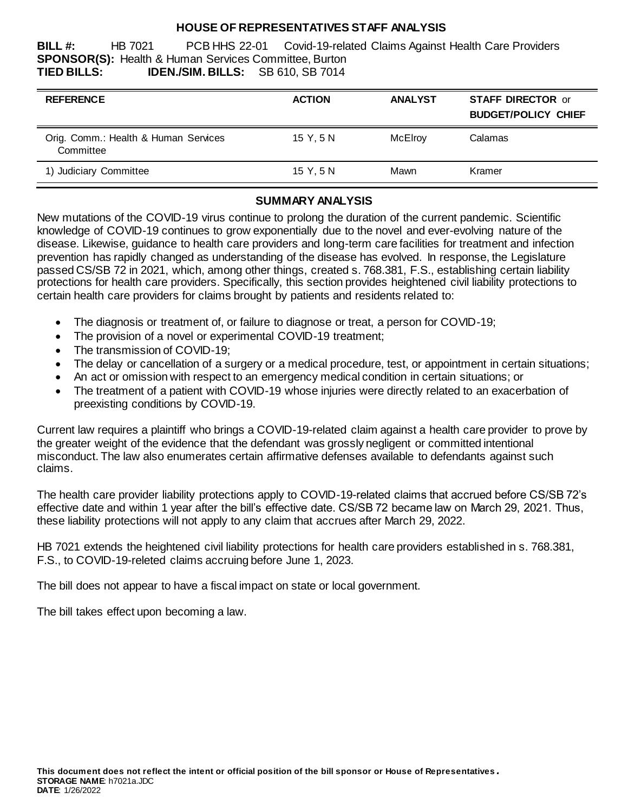#### **HOUSE OF REPRESENTATIVES STAFF ANALYSIS**

**BILL #:** HB 7021 PCB HHS 22-01 Covid-19-related Claims Against Health Care Providers **SPONSOR(S):** Health & Human Services Committee, Burton **TIED BILLS: IDEN./SIM. BILLS:** SB 610, SB 7014

| <b>REFERENCE</b>                                  | <b>ACTION</b> | <b>ANALYST</b> | <b>STAFF DIRECTOR or</b><br><b>BUDGET/POLICY CHIEF</b> |
|---------------------------------------------------|---------------|----------------|--------------------------------------------------------|
| Orig. Comm.: Health & Human Services<br>Committee | 15 Y.5 N      | McElroy        | Calamas                                                |
| 1) Judiciary Committee                            | 15 Y.5 N      | Mawn           | Kramer                                                 |

## **SUMMARY ANALYSIS**

New mutations of the COVID-19 virus continue to prolong the duration of the current pandemic. Scientific knowledge of COVID-19 continues to grow exponentially due to the novel and ever-evolving nature of the disease. Likewise, guidance to health care providers and long-term care facilities for treatment and infection prevention has rapidly changed as understanding of the disease has evolved. In response, the Legislature passed CS/SB 72 in 2021, which, among other things, created s. 768.381, F.S., establishing certain liability protections for health care providers. Specifically, this section provides heightened civil liability protections to certain health care providers for claims brought by patients and residents related to:

- The diagnosis or treatment of, or failure to diagnose or treat, a person for COVID-19;
- The provision of a novel or experimental COVID-19 treatment;
- The transmission of COVID-19;
- The delay or cancellation of a surgery or a medical procedure, test, or appointment in certain situations;
- An act or omission with respect to an emergency medical condition in certain situations; or
- The treatment of a patient with COVID-19 whose injuries were directly related to an exacerbation of preexisting conditions by COVID-19.

Current law requires a plaintiff who brings a COVID-19-related claim against a health care provider to prove by the greater weight of the evidence that the defendant was grossly negligent or committed intentional misconduct. The law also enumerates certain affirmative defenses available to defendants against such claims.

The health care provider liability protections apply to COVID-19-related claims that accrued before CS/SB 72's effective date and within 1 year after the bill's effective date. CS/SB 72 became law on March 29, 2021. Thus, these liability protections will not apply to any claim that accrues after March 29, 2022.

HB 7021 extends the heightened civil liability protections for health care providers established in s. 768.381, F.S., to COVID-19-releted claims accruing before June 1, 2023.

The bill does not appear to have a fiscal impact on state or local government.

The bill takes effect upon becoming a law.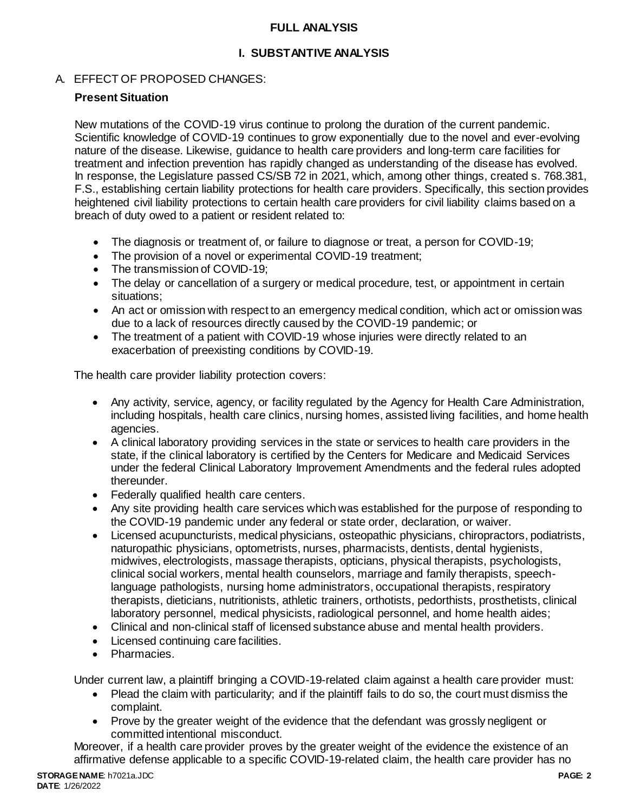### **FULL ANALYSIS**

# **I. SUBSTANTIVE ANALYSIS**

# A. EFFECT OF PROPOSED CHANGES:

## **Present Situation**

New mutations of the COVID-19 virus continue to prolong the duration of the current pandemic. Scientific knowledge of COVID-19 continues to grow exponentially due to the novel and ever-evolving nature of the disease. Likewise, guidance to health care providers and long-term care facilities for treatment and infection prevention has rapidly changed as understanding of the disease has evolved. In response, the Legislature passed CS/SB 72 in 2021, which, among other things, created s. 768.381, F.S., establishing certain liability protections for health care providers. Specifically, this section provides heightened civil liability protections to certain health care providers for civil liability claims based on a breach of duty owed to a patient or resident related to:

- The diagnosis or treatment of, or failure to diagnose or treat, a person for COVID-19;
- The provision of a novel or experimental COVID-19 treatment:
- The transmission of COVID-19;
- The delay or cancellation of a surgery or medical procedure, test, or appointment in certain situations;
- An act or omission with respect to an emergency medical condition, which act or omission was due to a lack of resources directly caused by the COVID-19 pandemic; or
- The treatment of a patient with COVID-19 whose injuries were directly related to an exacerbation of preexisting conditions by COVID-19.

The health care provider liability protection covers:

- Any activity, service, agency, or facility regulated by the Agency for Health Care Administration, including hospitals, health care clinics, nursing homes, assisted living facilities, and home health agencies.
- A clinical laboratory providing services in the state or services to health care providers in the state, if the clinical laboratory is certified by the Centers for Medicare and Medicaid Services under the federal Clinical Laboratory Improvement Amendments and the federal rules adopted thereunder.
- Federally qualified health care centers.
- Any site providing health care services which was established for the purpose of responding to the COVID-19 pandemic under any federal or state order, declaration, or waiver.
- Licensed acupuncturists, medical physicians, osteopathic physicians, chiropractors, podiatrists, naturopathic physicians, optometrists, nurses, pharmacists, dentists, dental hygienists, midwives, electrologists, massage therapists, opticians, physical therapists, psychologists, clinical social workers, mental health counselors, marriage and family therapists, speechlanguage pathologists, nursing home administrators, occupational therapists, respiratory therapists, dieticians, nutritionists, athletic trainers, orthotists, pedorthists, prosthetists, clinical laboratory personnel, medical physicists, radiological personnel, and home health aides;
- Clinical and non-clinical staff of licensed substance abuse and mental health providers.
- Licensed continuing care facilities.
- Pharmacies.

Under current law, a plaintiff bringing a COVID-19-related claim against a health care provider must:

- Plead the claim with particularity; and if the plaintiff fails to do so, the court must dismiss the complaint.
- Prove by the greater weight of the evidence that the defendant was grossly negligent or committed intentional misconduct.

Moreover, if a health care provider proves by the greater weight of the evidence the existence of an affirmative defense applicable to a specific COVID-19-related claim, the health care provider has no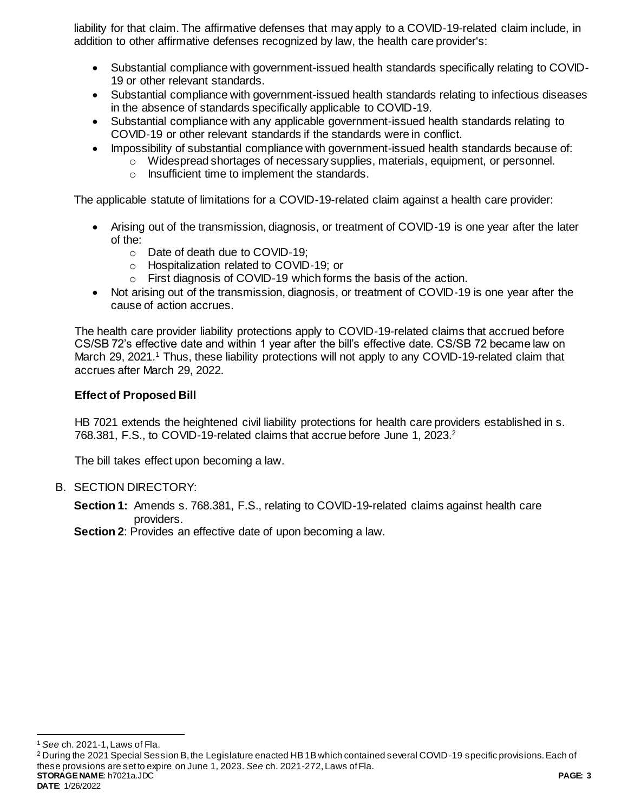liability for that claim. The affirmative defenses that may apply to a COVID-19-related claim include, in addition to other affirmative defenses recognized by law, the health care provider's:

- Substantial compliance with government-issued health standards specifically relating to COVID-19 or other relevant standards.
- Substantial compliance with government-issued health standards relating to infectious diseases in the absence of standards specifically applicable to COVID-19.
- Substantial compliance with any applicable government-issued health standards relating to COVID-19 or other relevant standards if the standards were in conflict.
	- Impossibility of substantial compliance with government-issued health standards because of:
		- o Widespread shortages of necessary supplies, materials, equipment, or personnel.
			- o Insufficient time to implement the standards.

The applicable statute of limitations for a COVID-19-related claim against a health care provider:

- Arising out of the transmission, diagnosis, or treatment of COVID-19 is one year after the later of the:
	- o Date of death due to COVID-19;
	- o Hospitalization related to COVID-19; or
	- o First diagnosis of COVID-19 which forms the basis of the action.
- Not arising out of the transmission, diagnosis, or treatment of COVID-19 is one year after the cause of action accrues.

The health care provider liability protections apply to COVID-19-related claims that accrued before CS/SB 72's effective date and within 1 year after the bill's effective date. CS/SB 72 became law on March 29, 2021.<sup>1</sup> Thus, these liability protections will not apply to any COVID-19-related claim that accrues after March 29, 2022.

#### **Effect of Proposed Bill**

HB 7021 extends the heightened civil liability protections for health care providers established in s. 768.381, F.S., to COVID-19-related claims that accrue before June 1, 2023.<sup>2</sup>

The bill takes effect upon becoming a law.

- B. SECTION DIRECTORY:
	- **Section 1:** Amends s. 768.381, F.S., relating to COVID-19-related claims against health care providers.

**Section 2:** Provides an effective date of upon becoming a law.

 $\overline{a}$ <sup>1</sup> *See* ch. 2021-1, Laws of Fla.

**STORAGE NAME**: h7021a.JDC **PAGE: 3 DATE**: 1/26/2022 <sup>2</sup> During the 2021 Special Session B, the Legislature enacted HB 1B which contained several COVID-19 specific provisions. Each of these provisions are set to expire on June 1, 2023. *See* ch. 2021-272, Laws of Fla.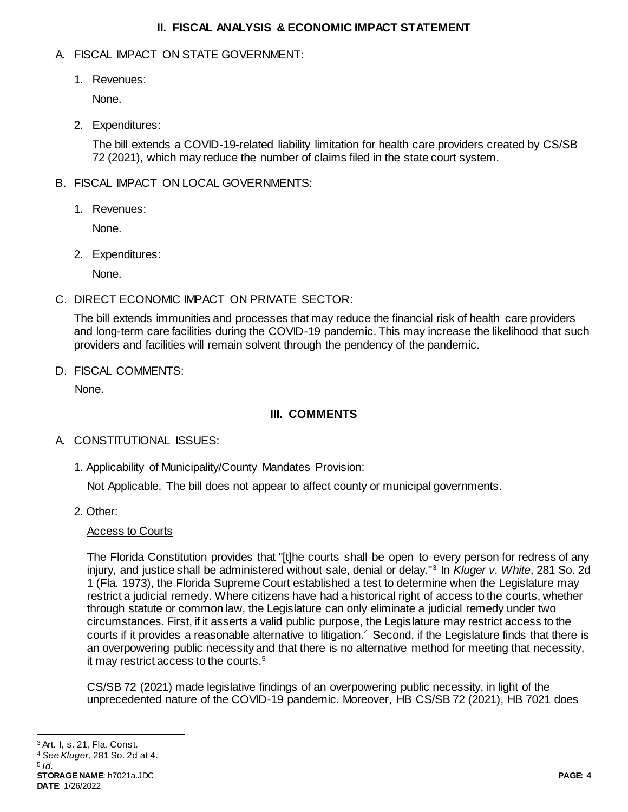#### **II. FISCAL ANALYSIS & ECONOMIC IMPACT STATEMENT**

## A. FISCAL IMPACT ON STATE GOVERNMENT:

1. Revenues:

None.

2. Expenditures:

The bill extends a COVID-19-related liability limitation for health care providers created by CS/SB 72 (2021), which may reduce the number of claims filed in the state court system.

# B. FISCAL IMPACT ON LOCAL GOVERNMENTS:

1. Revenues:

None.

2. Expenditures:

None.

C. DIRECT ECONOMIC IMPACT ON PRIVATE SECTOR:

The bill extends immunities and processes that may reduce the financial risk of health care providers and long-term care facilities during the COVID-19 pandemic. This may increase the likelihood that such providers and facilities will remain solvent through the pendency of the pandemic.

D. FISCAL COMMENTS:

None.

# **III. COMMENTS**

# A. CONSTITUTIONAL ISSUES:

1. Applicability of Municipality/County Mandates Provision:

Not Applicable. The bill does not appear to affect county or municipal governments.

2. Other:

# Access to Courts

The Florida Constitution provides that "[t]he courts shall be open to every person for redress of any injury, and justice shall be administered without sale, denial or delay."<sup>3</sup> In *Kluger v. White*, 281 So. 2d 1 (Fla. 1973), the Florida Supreme Court established a test to determine when the Legislature may restrict a judicial remedy. Where citizens have had a historical right of access to the courts, whether through statute or common law, the Legislature can only eliminate a judicial remedy under two circumstances. First, if it asserts a valid public purpose, the Legislature may restrict access to the courts if it provides a reasonable alternative to litigation.<sup>4</sup> Second, if the Legislature finds that there is an overpowering public necessity and that there is no alternative method for meeting that necessity, it may restrict access to the courts.<sup>5</sup>

CS/SB 72 (2021) made legislative findings of an overpowering public necessity, in light of the unprecedented nature of the COVID-19 pandemic. Moreover, HB CS/SB 72 (2021), HB 7021 does

 $\overline{a}$ 

<sup>3</sup> Art. I, s. 21, Fla. Const.

<sup>4</sup> *See Kluger*, 281 So. 2d at 4. 5 *Id.*